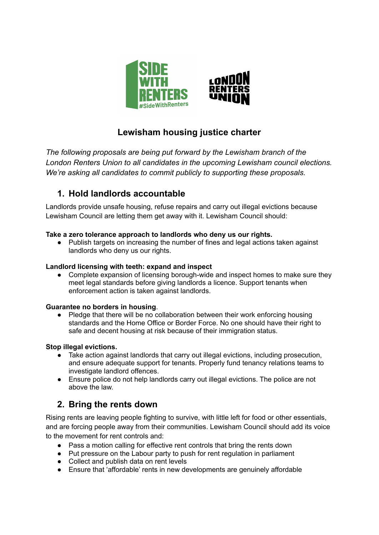

# **Lewisham housing justice charter**

*The following proposals are being put forward by the Lewisham branch of the London Renters Union to all candidates in the upcoming Lewisham council elections. We're asking all candidates to commit publicly to supporting these proposals.*

## **1. Hold landlords accountable**

Landlords provide unsafe housing, refuse repairs and carry out illegal evictions because Lewisham Council are letting them get away with it. Lewisham Council should:

### **Take a zero tolerance approach to landlords who deny us our rights.**

● Publish targets on increasing the number of fines and legal actions taken against landlords who deny us our rights.

### **Landlord licensing with teeth: expand and inspect**

• Complete expansion of licensing borough-wide and inspect homes to make sure they meet legal standards before giving landlords a licence. Support tenants when enforcement action is taken against landlords.

### **Guarantee no borders in housing**.

● Pledge that there will be no collaboration between their work enforcing housing standards and the Home Office or Border Force. No one should have their right to safe and decent housing at risk because of their immigration status.

#### **Stop illegal evictions.**

- Take action against landlords that carry out illegal evictions, including prosecution, and ensure adequate support for tenants. Properly fund tenancy relations teams to investigate landlord offences.
- Ensure police do not help landlords carry out illegal evictions. The police are not above the law.

## **2. Bring the rents down**

Rising rents are leaving people fighting to survive, with little left for food or other essentials, and are forcing people away from their communities. Lewisham Council should add its voice to the movement for rent controls and:

- Pass a motion calling for effective rent controls that bring the rents down
- Put pressure on the Labour party to push for rent regulation in parliament
- Collect and publish data on rent levels
- Ensure that 'affordable' rents in new developments are genuinely affordable